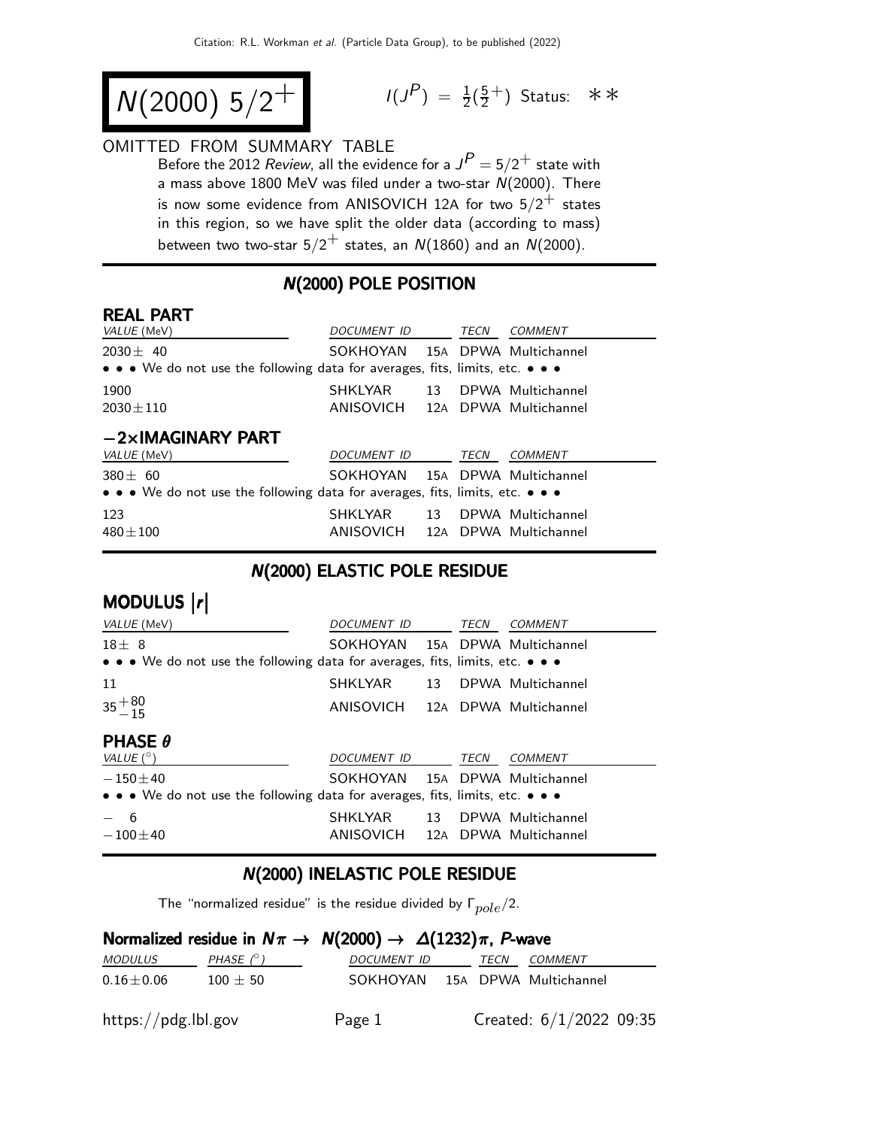$$
N(2000) 5/2^+
$$

$$
I(J^{P}) = \frac{1}{2}(\frac{5}{2}^{+})
$$
 Status:  $\ast \ast$ 

#### OMITTED FROM SUMMARY TABLE

Before the 2012 *Review*, all the evidence for a  $J^P = 5/2^+$  state with a mass above 1800 MeV was filed under a two-star  $N(2000)$ . There is now some evidence from ANISOVICH 12A for two  $5/2^+$  states in this region, so we have split the older data (according to mass) between two two-star  $5/2^+$  states, an  $N(1860)$  and an  $N(2000)$ .

#### N(2000) POLE POSITION

#### REAL PART

| VALUE (MeV)                                                                                                           | DOCUMENT ID                     |  | TECN | COMMENT              |
|-----------------------------------------------------------------------------------------------------------------------|---------------------------------|--|------|----------------------|
| $2030 + 40$                                                                                                           | SOKHOYAN 15A DPWA Multichannel  |  |      |                      |
| $\bullet \bullet \bullet$ We do not use the following data for averages, fits, limits, etc. $\bullet \bullet \bullet$ |                                 |  |      |                      |
| 1900                                                                                                                  | SHKLYAR                         |  |      | 13 DPWA Multichannel |
| $2030 \pm 110$                                                                                                        | ANISOVICH 12A DPWA Multichannel |  |      |                      |
| $-2\times$ IMAGINARY PART                                                                                             |                                 |  |      |                      |
| <i>VALUE</i> (MeV)                                                                                                    | <i>DOCUMENT ID</i>              |  | TECN | COMMENT              |
| $380 + 60$                                                                                                            | SOKHOYAN 15A DPWA Multichannel  |  |      |                      |
| • • • We do not use the following data for averages, fits, limits, etc. • • •                                         |                                 |  |      |                      |
|                                                                                                                       |                                 |  |      |                      |

#### N(2000) ELASTIC POLE RESIDUE

| MODULUS  r                                                                                                            |                                 |      |                      |
|-----------------------------------------------------------------------------------------------------------------------|---------------------------------|------|----------------------|
| <i>VALUE</i> (MeV)                                                                                                    | <i>DOCUMENT ID</i>              | TECN | <b>COMMENT</b>       |
| $18 + 8$                                                                                                              | SOKHOYAN 15A DPWA Multichannel  |      |                      |
| $\bullet \bullet \bullet$ We do not use the following data for averages, fits, limits, etc. $\bullet \bullet \bullet$ |                                 |      |                      |
| 11                                                                                                                    | SHKLYAR                         |      | 13 DPWA Multichannel |
| $35 + 80$<br>-15                                                                                                      | ANISOVICH 12A DPWA Multichannel |      |                      |
| <b>PHASE <math>\theta</math></b>                                                                                      |                                 |      |                      |
| VALUE $(^\circ)$                                                                                                      | <i>DOCUMENT ID</i>              | TECN | <b>COMMENT</b>       |
| $-150\pm 40$                                                                                                          | SOKHOYAN 15A DPWA Multichannel  |      |                      |
| • • • We do not use the following data for averages, fits, limits, etc. • • •                                         |                                 |      |                      |
| 6                                                                                                                     | SHKLYAR                         |      | 13 DPWA Multichannel |
| $-100 + 40$                                                                                                           | ANISOVICH 12A DPWA Multichannel |      |                      |

#### N(2000) INELASTIC POLE RESIDUE

The "normalized residue" is the residue divided by  $\Gamma_{pole}/2$ .

#### Normalized residue in  $N\pi \rightarrow N(2000) \rightarrow \Delta(1232)\pi$ , P-wave

| <i>MODULUS</i>      | PHASE $(^\circ)$ | <i>DOCUMENT ID</i>             | TECN |  |                           | <i>COMMENT</i> |  |  |
|---------------------|------------------|--------------------------------|------|--|---------------------------|----------------|--|--|
| $0.16 \pm 0.06$     | $100 \pm 50$     | SOKHOYAN 15A DPWA Multichannel |      |  |                           |                |  |  |
| https://pdg.lbl.gov |                  | Page 1                         |      |  | Created: $6/1/2022$ 09:35 |                |  |  |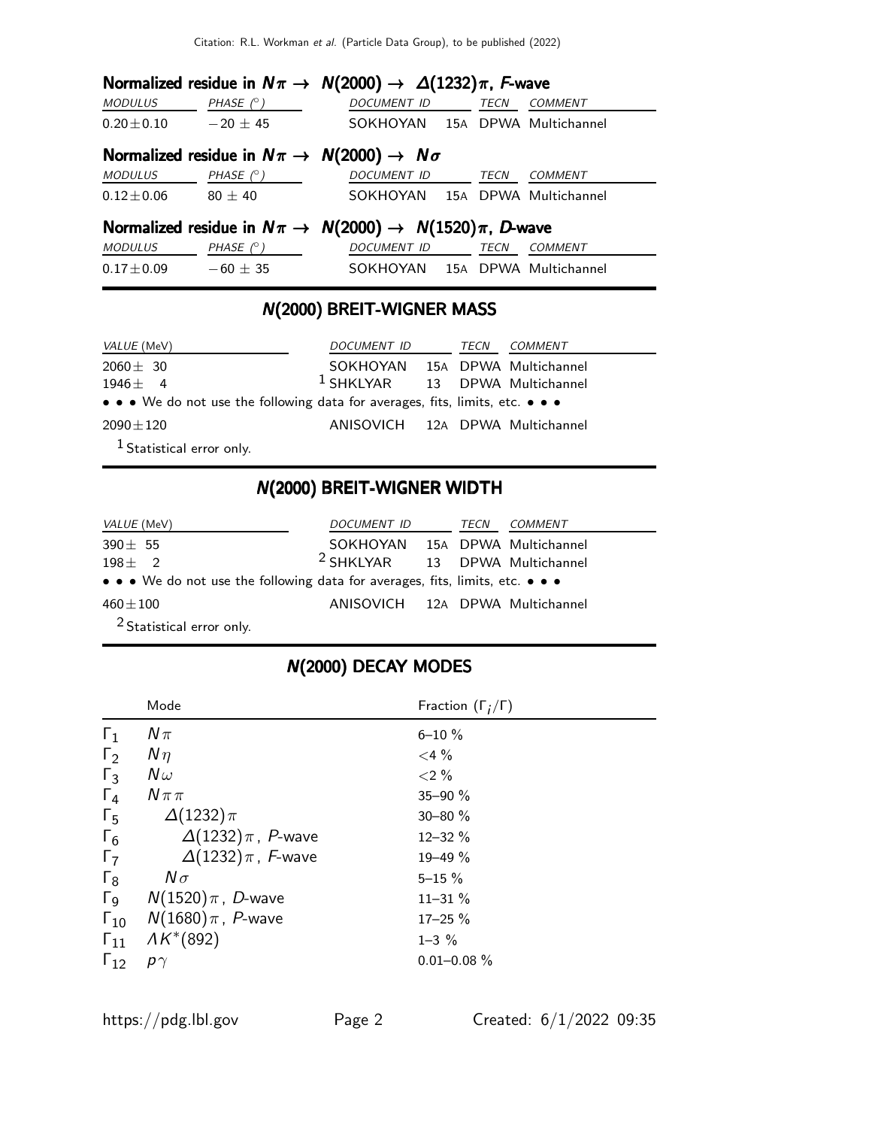|                              | Normalized residue in $N\pi \to N(2000) \to \Delta(1232)\pi$ , F-wave            |                    |             |                                |
|------------------------------|----------------------------------------------------------------------------------|--------------------|-------------|--------------------------------|
| <b>MODULUS</b>               | PHASE (° )                                                                       | DOCUMENT ID TECN   |             | <b>COMMENT</b>                 |
| $0.20 \pm 0.10$ $-20 \pm 45$ |                                                                                  |                    |             | SOKHOYAN 15A DPWA Multichannel |
|                              | Normalized residue in $N\pi \rightarrow N(2000) \rightarrow N\sigma$             |                    |             |                                |
| <b>MODULUS</b>               | PHASE (° )                                                                       | <b>DOCUMENT ID</b> | <b>TECN</b> | COMMENT                        |
| $0.12 \!\pm\! 0.06$          | $80\pm40$                                                                        |                    |             | SOKHOYAN 15A DPWA Multichannel |
|                              | Normalized residue in $N\pi \rightarrow N(2000) \rightarrow N(1520)\pi$ , D-wave |                    |             |                                |
| MODULUS                      | PHASE (° )                                                                       | DOCUMENT ID        | <b>TECN</b> | <b>COMMENT</b>                 |
| $0.17 \pm 0.09$ $-60 \pm 35$ |                                                                                  |                    |             | SOKHOYAN 15A DPWA Multichannel |

# N(2000) BREIT-WIGNER MASS

| <i>VALUE</i> (MeV)                                                                                                    | DOCUMENT ID                      | TECN | <i>COMMENT</i> |
|-----------------------------------------------------------------------------------------------------------------------|----------------------------------|------|----------------|
| $2060 \pm 30$                                                                                                         | SOKHOYAN 15A DPWA Multichannel   |      |                |
| $1946 \pm 4$                                                                                                          | $1$ SHKLYAR 13 DPWA Multichannel |      |                |
| $\bullet \bullet \bullet$ We do not use the following data for averages, fits, limits, etc. $\bullet \bullet \bullet$ |                                  |      |                |
| $2090 \pm 120$                                                                                                        | ANISOVICH 12A DPWA Multichannel  |      |                |
| $1$ Statistical error only.                                                                                           |                                  |      |                |

# N(2000) BREIT-WIGNER WIDTH

| <i>VALUE</i> (MeV)                                                            | DOCUMENT ID                               | TECN | <i>COMMENT</i> |
|-------------------------------------------------------------------------------|-------------------------------------------|------|----------------|
| $390 \pm 55$                                                                  | SOKHOYAN 15A DPWA Multichannel            |      |                |
| $198 + 2$                                                                     | <sup>2</sup> SHKLYAR 13 DPWA Multichannel |      |                |
| • • • We do not use the following data for averages, fits, limits, etc. • • • |                                           |      |                |
| $460\pm100$                                                                   | ANISOVICH 12A DPWA Multichannel           |      |                |
| <sup>2</sup> Statistical error only.                                          |                                           |      |                |

|  |  | N(2000) DECAY MODES |
|--|--|---------------------|
|--|--|---------------------|

|                       | Mode                       | Fraction $(\Gamma_i/\Gamma)$ |
|-----------------------|----------------------------|------------------------------|
| $\Gamma_1$            | $N\pi$                     | $6 - 10 \%$                  |
| $\Gamma_2$            | $N\eta$                    | $<$ 4 %                      |
| $\Gamma_3$            | $N\omega$                  | ${<}2\%$                     |
| $\Gamma_4$            | $N \pi \pi$                | $35 - 90 \%$                 |
| $\Gamma_5$            | $\Delta(1232)\pi$          | $30 - 80 \%$                 |
| $\Gamma_6$            | $\Delta(1232)\pi$ , P-wave | $12 - 32 \%$                 |
| $\Gamma_7$            | $\Delta(1232)\pi$ , F-wave | $19 - 49 \%$                 |
| $\Gamma_8$            | $N\sigma$                  | $5 - 15 \%$                  |
| $\Gamma_{\mathsf{Q}}$ | $N(1520)\,\pi$ , D-wave    | $11 - 31 \%$                 |
| $\Gamma_{10}$         | $N(1680)\,\pi$ , P-wave    | $17 - 25 \%$                 |
| $\Gamma_{11}$         | $AK*(892)$                 | $1 - 3 \%$                   |
| $\Gamma_{12}$         | $p\gamma$                  | $0.01 - 0.08 \%$             |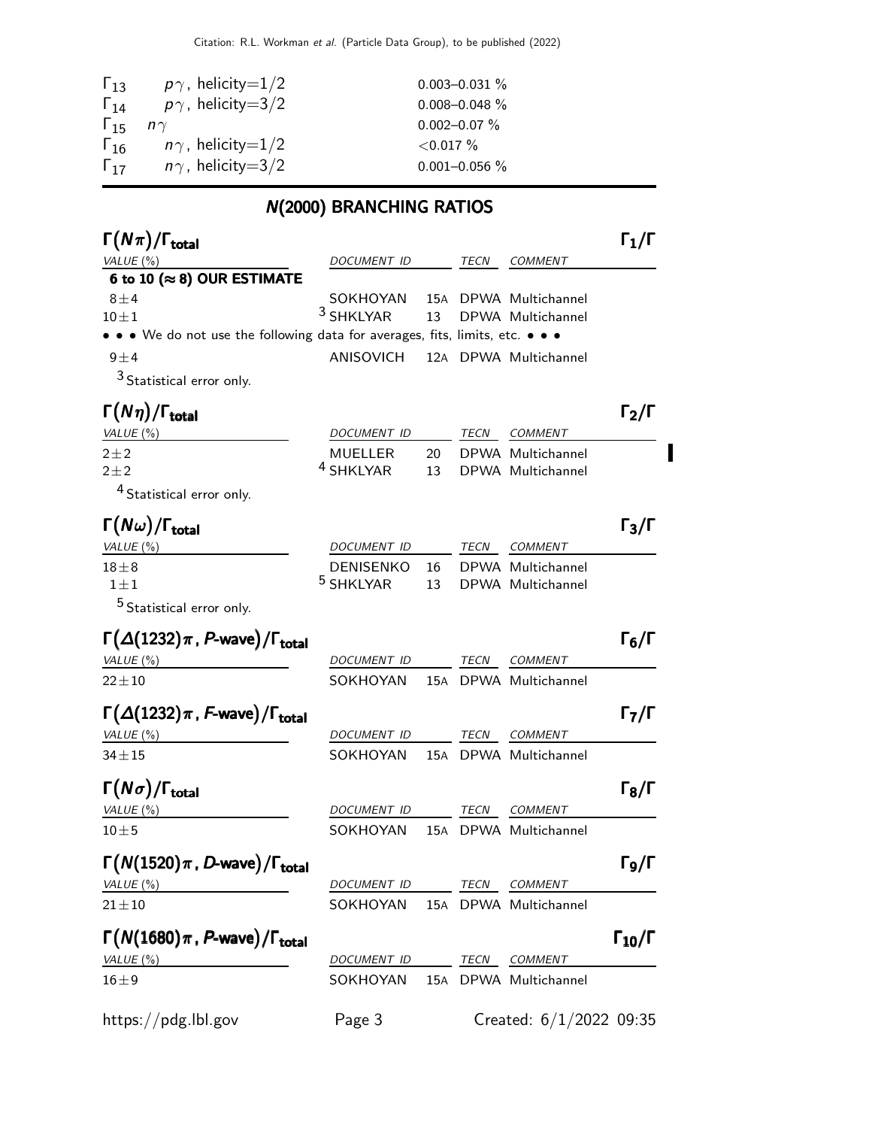| $\Gamma_{13}$ | $p\gamma$ , helicity=1/2 | $0.003 - 0.031 \%$ |
|---------------|--------------------------|--------------------|
| $\Gamma_{14}$ | $p\gamma$ , helicity=3/2 | $0.008 - 0.048 \%$ |
| $\Gamma_{15}$ | $n\gamma$                | $0.002 - 0.07 \%$  |
| $\Gamma_{16}$ | $n\gamma$ , helicity=1/2 | ${<}0.017\%$       |
| $\Gamma_{17}$ | $n\gamma$ , helicity=3/2 | $0.001 - 0.056 %$  |

# N(2000) BRANCHING RATIOS

| $\Gamma(N\pi)/\Gamma_{\rm total}$                                             |                      |     |      |                         | $\mathsf{\Gamma_1}/\mathsf{\Gamma}$ |
|-------------------------------------------------------------------------------|----------------------|-----|------|-------------------------|-------------------------------------|
| VALUE $(\%)$                                                                  | DOCUMENT ID          |     | TECN | <b>COMMENT</b>          |                                     |
| 6 to 10 ( $\approx$ 8) OUR ESTIMATE                                           |                      |     |      |                         |                                     |
| $8\pm4$                                                                       | SOKHOYAN             |     |      | 15A DPWA Multichannel   |                                     |
| $10 \pm 1$                                                                    | 3 SHKLYAR            | 13  |      | DPWA Multichannel       |                                     |
| • • • We do not use the following data for averages, fits, limits, etc. • • • |                      |     |      |                         |                                     |
| $9 \pm 4$                                                                     | ANISOVICH            |     |      | 12A DPWA Multichannel   |                                     |
| $3$ Statistical error only.                                                   |                      |     |      |                         |                                     |
| $\Gamma(N\eta)/\Gamma_{\rm total}$                                            |                      |     |      |                         | $\Gamma_2/\Gamma$                   |
| VALUE $(%)$                                                                   | DOCUMENT ID          |     | TECN | <b>COMMENT</b>          |                                     |
| $2\pm 2$                                                                      | <b>MUELLER</b>       | 20  |      | DPWA Multichannel       |                                     |
| $2\pm 2$                                                                      | <sup>4</sup> SHKLYAR | 13  |      | DPWA Multichannel       |                                     |
| <sup>4</sup> Statistical error only.                                          |                      |     |      |                         |                                     |
| $\Gamma(N\omega)/\Gamma_{\rm total}$                                          |                      |     |      |                         | $\Gamma_3/\Gamma$                   |
| VALUE (%)                                                                     | DOCUMENT ID          |     | TECN | <b>COMMENT</b>          |                                     |
| $18\pm8$                                                                      | <b>DENISENKO</b>     | 16  |      | DPWA Multichannel       |                                     |
| $1 \pm 1$                                                                     | <sup>5</sup> SHKLYAR | 13  |      | DPWA Multichannel       |                                     |
| <sup>5</sup> Statistical error only.                                          |                      |     |      |                         |                                     |
| $\Gamma(\Delta(1232)\pi, P$ -wave)/ $\Gamma_{\text{total}}$                   |                      |     |      |                         | $\Gamma_6/\Gamma$                   |
| VALUE (%)                                                                     | DOCUMENT ID          |     | TECN | <b>COMMENT</b>          |                                     |
| $22 \pm 10$                                                                   | SOKHOYAN             |     |      | 15A DPWA Multichannel   |                                     |
| $\Gamma(\Delta(1232)\pi$ , F-wave)/ $\Gamma_{\text{total}}$                   |                      |     |      |                         | $\Gamma_7/\Gamma$                   |
| VALUE(%)                                                                      | DOCUMENT ID          |     | TECN | <b>COMMENT</b>          |                                     |
| $34 \pm 15$                                                                   | SOKHOYAN             | 15A |      | DPWA Multichannel       |                                     |
|                                                                               |                      |     |      |                         |                                     |
| $\Gamma(N\sigma)/\Gamma_{\rm total}$                                          |                      |     |      |                         | $\Gamma_8/\Gamma$                   |
| VALUE (%)                                                                     | DOCUMENT ID          |     | TECN | <b>COMMENT</b>          |                                     |
| $10 \pm 5$                                                                    | SOKHOYAN             | 15A |      | DPWA Multichannel       |                                     |
| $\Gamma(N(1520)\pi, D$ -wave)/ $\Gamma_{\rm total}$                           |                      |     |      |                         | Г9/Г                                |
| VALUE(%)                                                                      | DOCUMENT ID          |     | TECN | <b>COMMENT</b>          |                                     |
| $21 \pm 10$                                                                   | SOKHOYAN             |     |      | 15A DPWA Multichannel   |                                     |
|                                                                               |                      |     |      |                         |                                     |
| $\Gamma(N(1680)\pi, P$ -wave)/ $\Gamma_{\text{total}}$                        |                      |     |      |                         | $\Gamma_{10}/\Gamma$                |
| VALUE $(\%)$                                                                  | DOCUMENT ID          |     | TECN | COMMENT                 |                                     |
| $16 \pm 9$                                                                    | SOKHOYAN             |     |      | 15A DPWA Multichannel   |                                     |
| https://pdg.lbl.gov                                                           | Page 3               |     |      | Created: 6/1/2022 09:35 |                                     |